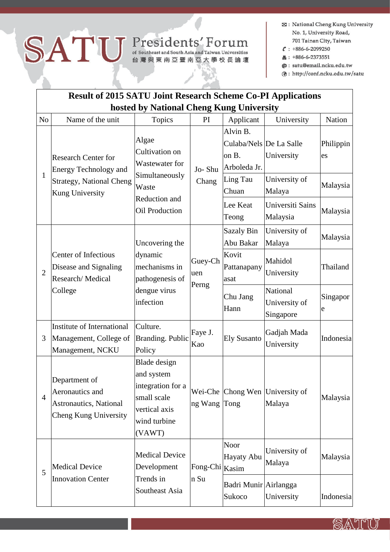## SATU Presidents' Forum

- **E3:** National Cheng Kung University No. 1, University Road, 701 Tainan City, Taiwan
- $C: +886 6 2099250$
- 昌: +886-6-2373551
- @: satu@email.ncku.edu.tw
- @: http://conf.ncku.edu.tw/satu

| <b>Result of 2015 SATU Joint Research Scheme Co-PI Applications</b> |                                                                                                           |                                                                                                                |                         |                                                                                                        |                                                                       |                                         |  |  |  |  |  |
|---------------------------------------------------------------------|-----------------------------------------------------------------------------------------------------------|----------------------------------------------------------------------------------------------------------------|-------------------------|--------------------------------------------------------------------------------------------------------|-----------------------------------------------------------------------|-----------------------------------------|--|--|--|--|--|
| hosted by National Cheng Kung University                            |                                                                                                           |                                                                                                                |                         |                                                                                                        |                                                                       |                                         |  |  |  |  |  |
| N <sub>o</sub>                                                      | Name of the unit                                                                                          | Topics                                                                                                         | PI                      | Applicant                                                                                              | University                                                            | Nation                                  |  |  |  |  |  |
| $\mathbf{1}$                                                        | <b>Research Center for</b><br>Energy Technology and<br><b>Strategy, National Cheng</b><br>Kung University | Algae<br>Cultivation on<br>Wastewater for<br>Simultaneously<br>Waste<br>Reduction and<br><b>Oil Production</b> | Jo-Shu<br>Chang         | Alvin B.<br>Culaba/Nels De La Salle<br>on B.<br>Arboleda Jr.<br>Ling Tau<br>Chuan<br>Lee Keat<br>Teong | University<br>University of<br>Malaya<br>Universiti Sains<br>Malaysia | Philippin<br>es<br>Malaysia<br>Malaysia |  |  |  |  |  |
| $\overline{2}$                                                      | Center of Infectious<br>Disease and Signaling<br>Research/Medical<br>College                              | Uncovering the<br>dynamic<br>mechanisms in<br>pathogenesis of<br>dengue virus<br>infection                     | Guey-Ch<br>uen<br>Perng | <b>Sazaly Bin</b><br>Abu Bakar                                                                         | University of<br>Malaya                                               | Malaysia                                |  |  |  |  |  |
|                                                                     |                                                                                                           |                                                                                                                |                         | Kovit<br>Pattanapany<br>asat                                                                           | Mahidol<br>University                                                 | Thailand                                |  |  |  |  |  |
|                                                                     |                                                                                                           |                                                                                                                |                         | Chu Jang<br>Hann                                                                                       | National<br>University of<br>Singapore                                | Singapor<br>e                           |  |  |  |  |  |
| 3                                                                   | Institute of International<br>Management, College of<br>Management, NCKU                                  | Culture.<br><b>Branding. Public</b><br>Policy                                                                  | Faye J.<br>Kao          | <b>Ely Susanto</b>                                                                                     | Gadjah Mada<br>University                                             | Indonesia                               |  |  |  |  |  |
| $\overline{4}$                                                      | Department of<br>Aeronautics and<br>Astronautics, National<br>Cheng Kung University                       | Blade design<br>and system<br>integration for a<br>small scale<br>vertical axis<br>wind turbine<br>(VAWT)      | ng Wang Tong            |                                                                                                        | Wei-Che Chong Wen University of<br>Malaya                             | Malaysia                                |  |  |  |  |  |
| 5                                                                   | <b>Medical Device</b><br><b>Innovation Center</b>                                                         | <b>Medical Device</b><br>Development<br>Trends in<br>Southeast Asia                                            | Fong-Chi Kasim<br>n Su  | Noor<br>Hayaty Abu<br>Badri Munir Airlangga<br>Sukoco                                                  | University of<br>Malaya<br>University                                 | Malaysia<br>Indonesia                   |  |  |  |  |  |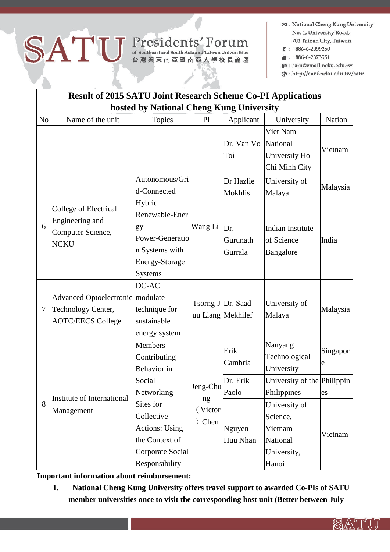## SATU Presidents' Forum

- **23** : National Cheng Kung University No. 1, University Road, 701 Tainan City, Taiwan
- $C: +886-6-2099250$
- 昌: +886-6-2373551
- @: satu@email.ncku.edu.tw
- @: http://conf.ncku.edu.tw/satu

U "II")

| <b>Result of 2015 SATU Joint Research Scheme Co-PI Applications</b> |                                                                                    |                                                                                                          |                                   |                             |                                                                          |               |  |  |  |  |  |  |
|---------------------------------------------------------------------|------------------------------------------------------------------------------------|----------------------------------------------------------------------------------------------------------|-----------------------------------|-----------------------------|--------------------------------------------------------------------------|---------------|--|--|--|--|--|--|
| hosted by National Cheng Kung University                            |                                                                                    |                                                                                                          |                                   |                             |                                                                          |               |  |  |  |  |  |  |
| N <sub>o</sub>                                                      | Name of the unit                                                                   | Topics                                                                                                   | PI                                | Applicant                   | University                                                               | Nation        |  |  |  |  |  |  |
|                                                                     |                                                                                    |                                                                                                          |                                   | Dr. Van Vo<br>Toi           | Viet Nam<br>National<br>University Ho<br>Chi Minh City                   | Vietnam       |  |  |  |  |  |  |
| 6                                                                   | College of Electrical<br>Engineering and<br>Computer Science,<br><b>NCKU</b>       | Autonomous/Gri<br>d-Connected                                                                            | Wang Li                           | Dr Hazlie<br><b>Mokhlis</b> | University of<br>Malaya                                                  | Malaysia      |  |  |  |  |  |  |
|                                                                     |                                                                                    | Hybrid<br>Renewable-Ener<br>gy<br>Power-Generatio<br>n Systems with<br>Energy-Storage<br><b>Systems</b>  |                                   | Dr.<br>Gurunath<br>Gurrala  | <b>Indian Institute</b><br>of Science<br>Bangalore                       | India         |  |  |  |  |  |  |
| $\overline{7}$                                                      | Advanced Optoelectronic modulate<br>Technology Center,<br><b>AOTC/EECS College</b> | DC-AC<br>technique for<br>sustainable<br>energy system                                                   | Tsorng-J Dr. Saad                 | uu Liang Mekhilef           | University of<br>Malaya                                                  | Malaysia      |  |  |  |  |  |  |
| 8                                                                   | Institute of International<br>Management                                           | <b>Members</b><br>Contributing<br>Behavior in                                                            | Jeng-Chu<br>ng<br>(Victor<br>Chen | Erik<br>Cambria             | Nanyang<br>Technological<br>University                                   | Singapor<br>e |  |  |  |  |  |  |
|                                                                     |                                                                                    | Social<br>Networking                                                                                     |                                   | Dr. Erik<br>Paolo           | University of the Philippin<br>Philippines                               | es            |  |  |  |  |  |  |
|                                                                     |                                                                                    | Sites for<br>Collective<br><b>Actions: Using</b><br>the Context of<br>Corporate Social<br>Responsibility |                                   | Nguyen<br>Huu Nhan          | University of<br>Science,<br>Vietnam<br>National<br>University,<br>Hanoi | Vietnam       |  |  |  |  |  |  |

Important information about reimbursement:

National Cheng Kung University offers travel support to awarded Co-PIs of SATU 1. member universities once to visit the corresponding host unit (Better between July